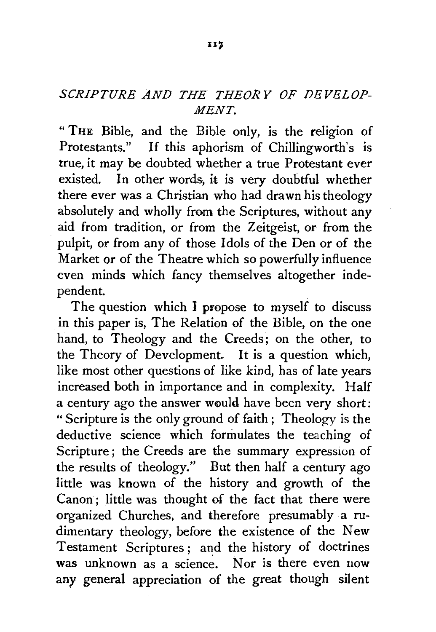## *SCRIPTURE AND THE THEORY OF DEVELOP-MENT.*

" THE Bible, and the Bible only, is the religion of Protestants." If this aphorism of Chillingworth's is true, it may be doubted whether a true Protestant ever existed. In other words, it is very doubtful whether there ever was a Christian who had drawn his theology absolutely and wholly from the Scriptures, without any aid from tradition, or from the Zeitgeist, or from the pulpit, or from any of those Idols of the Den or of the Market or of the Theatre which so powerfully influence even minds which fancy themselves altogether independent.

The question which 1 propose to myself to discuss in this paper is, The Relation of the Bible, on the one hand, to Theology and the Creeds; on the other, to the Theory of Development. It is a question which, like most other questions of like kind, has of late years increased both in importance and in complexity. Half a century ago the answer would have been very short: " Scripture is the only ground of faith ; Theology is the deductive science which formulates the teaching of Scripture; the Creeds are the summary expression of the results of theology." But then half a century ago little was known of the history and growth of the Canon ; little was thought of the fact that there were organized Churches, and therefore presumably a rudimentary theology, before the existence of the New Testament Scriptures; and the history of doctrines was unknown as a science. Nor is there even now any general appreciation of the great though silent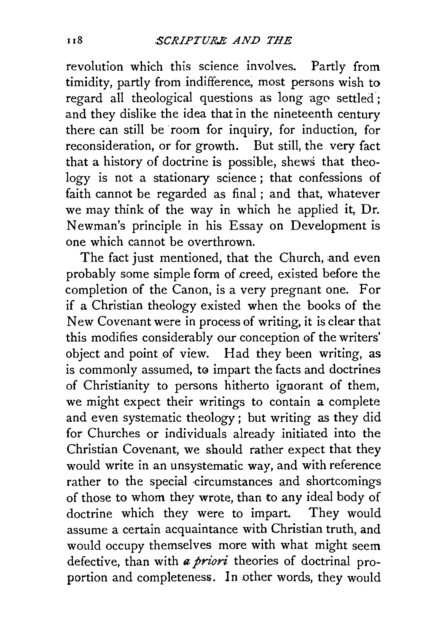revolution which this science involves. Partly from timidity, partly from indifference, most persons wish to regard all theological questions as long age settled ; and they dislike the idea that in the nineteenth century there can still be room for inquiry, for induction, for reconsideration, or for growth. But still, the very fact that a history of doctrine is possible, shews that theology is not a stationary science; that confessions of faith cannot be regarded as final ; and that, whatever we may think of the way in which he applied it, Dr. Newman's principle in his Essay on Development is one which cannot be overthrown.

The fact just mentioned, that the Church, and even probably some simple form of creed, existed before the completion of the Canon, is a very pregnant one. For if a Christian theology existed when the books of the New Covenant were in process of writing, it is clear that this modifies considerably our conception of the writers' object and point of view. Had they been writing, as is commonly assumed, to impart the facts and doctrines of Christianity to persons hitherto ignorant of them, we might expect their writings to contain a complete and even systematic theology ; but writing as they did for Churches or individuals already initiated into the Christian Covenant, we should rather expect that they would write in an unsystematic way, and with reference rather to the special circumstances and shortcomings of those to whom they wrote, than to any ideal body of doctrine which they were to impart. They would assume a certain acquaintance with Christian truth, and would occupy themselves more with what might seem defective, than with *a priori* theories of doctrinal proportion and completeness. In other words, they would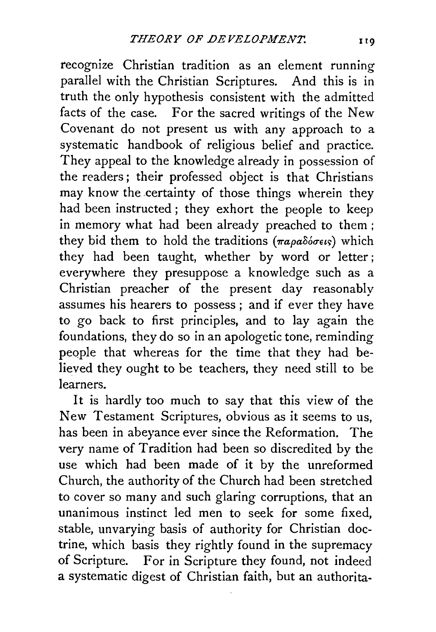recognize Christian tradition as an element running parallel with the Christian Scriptures. And this is in truth the only hypothesis consistent with the admitted facts of the case. For the sacred writings of the New Covenant do not present us with any approach to a systematic handbook of religious belief and practice. They appeal to the knowledge already in possession of the readers; their professed object is that Christians may know the .certainty of those things wherein they had been instructed ; they exhort the people to keep in memory what had been already preached to them ; they bid them to hold the traditions (παραδόσεις) which they had been taught, whether by word or letter; everywhere they presuppose a knowledge such as a Christian preacher of the present day reasonably assumes his hearers to possess; and if ever they have to go back to first principles, and to lay again the foundations, they do so in an apologetic tone, reminding people that whereas for the time that they had believed they ought to be teachers, they need still to be learners.

It is hardly too much to say that this view of the New Testament Scriptures, obvious as it seems to us, has been in abeyance ever since the Reformation. The very name of Tradition had been so discredited by the use which had been made of it by the unreformed Church, the authority of the Church had been stretched to cover so many and such glaring corruptions, that an unanimous instinct led men to seek for some fixed, stable, unvarying basis of authority for Christian doctrine, which basis they rightly found in the supremacy of Scripture. For in Scripture they found, not indeed a systematic digest of Christian faith, but an authorita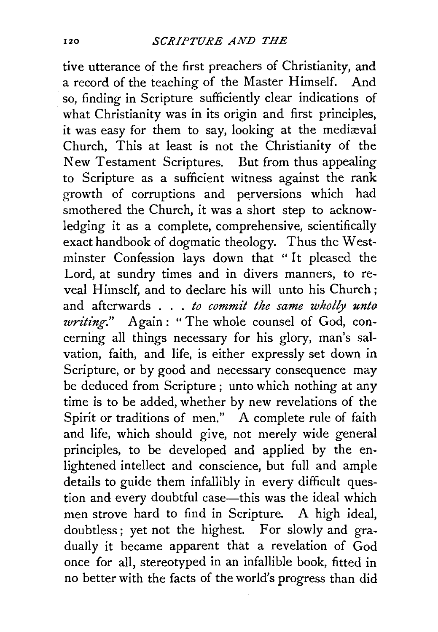tive utterance of the first preachers of Christianity, and a record of the teaching of the Master Himself. And so, finding in Scripture sufficiently clear indications of what Christianity was in its origin and first principles, it was easy for them to say, looking at the mediaval Church, This at least is not the Christianity of the New Testament Scriptures. But from thus appealing to Scripture as a sufficient witness against the rank growth of corruptions and perversions which had smothered the Church, it was a short step to acknowledging it as a complete, comprehensive, scientifically exact handbook of dogmatic theology. Thus the Westminster Confession lays down that "It pleased the Lord, at sundry times and in divers manners, to reveal Himself, and to declare his will unto his Church ; and afterwards . . . *to commit the same wholly unto writing."* Again: "The whole counsel of God, concerning all things necessary for his glory, man's salvation, faith, and life, is either expressly set down in Scripture, or by good and necessary consequence may be deduced from Scripture; unto which nothing at any time is to be added, whether by new revelations of the Spirit or traditions of men." A complete rule of faith and life, which should give, not merely wide general principles, to be developed and applied by the enlightened intellect and conscience, but full and ample details to guide them infallibly in every difficult question and every doubtful case—this was the ideal which men strove hard to find in Scripture. A high ideal, doubtless; yet not the highest. For slowly and gradually it became apparent that a revelation of God once for all, stereotyped in an infallible book, fitted in no better with the facts of the world's progress than did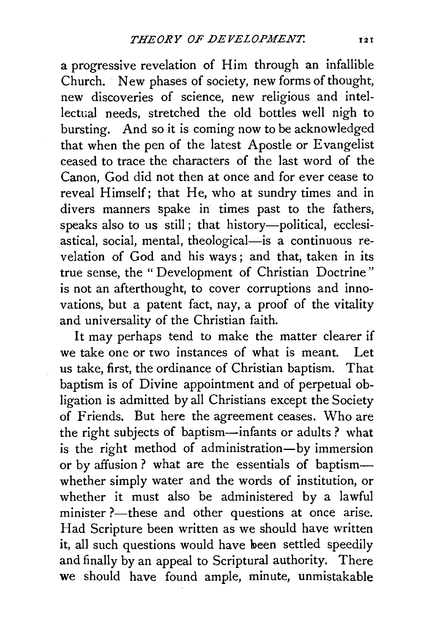a progressive revelation of Him through an infallible Church. New phases of society, new forms of thought, new discoveries of science, new religious and intellectual needs, stretched the old bottles well nigh to bursting. And so it is coming now to be acknowledged that when the pen of the latest Apostle or Evangelist ceased to trace the characters of the last word of the Canon, God did not then at once and for ever cease to reveal Himself; that He, who at sundry times and in divers manners spake in times past to the fathers, speaks also to us still; that history-political, ecclesiastical, social, mental, theological-is a continuous revelation of God and his ways; and that, taken in its true sense, the " Development of Christian Doctrine " is not an afterthought, to cover corruptions and innovations, but a patent fact, nay, a proof of the vitality and universality of the Christian faith.

It may perhaps tend to make the matter clearer if we take one or two instances of what is meant. Let us take, first, the ordinance of Christian baptism. That baptism is of Divine appointment and of perpetual obligation is admitted by all Christians except the Society of Friends. But here the agreement ceases. Who are the right subjects of baptism-infants or adults? what is the right method of administration-by immersion or by affusion? what are the essentials of baptismwhether simply water and the words of institution, or whether it must also be administered by a lawful minister ?- these and other questions at once arise. Had Scripture been written as we should have written it, all such questions would have been settled speedily and finally by an appeal to Scriptural authority. There we should have found ample, minute, unmistakable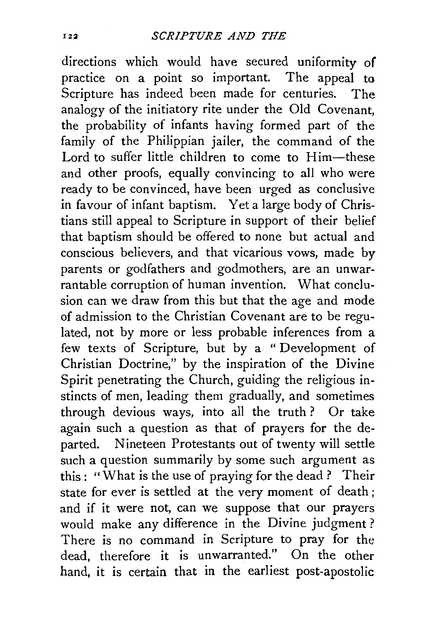directions which would have secured uniformity of practice on a point so important. The appeal to Scripture has indeed been made for centuries. The analogy of the initiatory rite under the Old Covenant, the probability of infants having formed part of the family of the Philippian jailer, the command of the Lord to suffer little children to come to Him-these and other proofs, equally convincing to all who were ready to be convinced, have been urged as conclusive in favour of infant baptism. Yet a large body of Christians still appeal to Scripture in support of their belief that baptism should be offered to none but actual and conscious believers, and that vicarious vows, made by parents or godfathers and godmothers, are an unwarrantable corruption of human invention. What conclusion can we draw from this but that the age and mode of admission to the Christian Covenant are to be regulated, not by more or less probable inferences from a few texts of Scripture, but by a " Development of Christian Doctrine," by the inspiration of the Divine Spirit penetrating the Church, guiding the religious instincts of men, leading them gradually, and sometimes through devious ways, into all the truth? Or take again such a question as that of prayers for the departed. Nineteen Protestants out of twenty will settle such a question summarily by some such argument as this : "What is the use of praying for the dead ? Their state for ever is settled at the very moment of death ; and if it were not, can we suppose that our prayers would make any difference in the Divine judgment? There is no command in Scripture to pray for the dead, therefore it is unwarranted." On the other hand, it is certain that in the earliest post-apostolic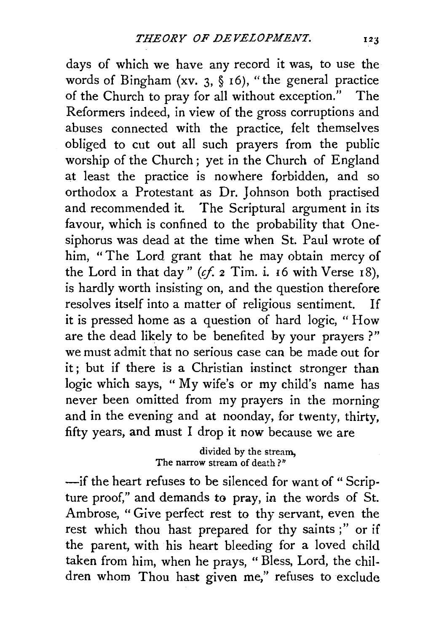days of which we have any record it was, to use the words of Bingham (xv. 3,  $\S$  16), "the general practice of the Church to pray for all without exception." The Reformers indeed, in view of the gross corruptions and abuses connected with the practice, felt themselves obliged to cut out all such prayers from the public worship of the Church ; yet in the Church of England at least the practice is nowhere forbidden, and so orthodox a Protestant as Dr. Johnson both practised and recommended it. The Scriptural argument in its favour, which is confined to the probability that Onesiphorus was dead at the time when St. Paul wrote of him, "The Lord grant that he may obtain mercy of the Lord in that day"  $(cf. 2 Tim. i. 16 with Verse 18)$ , is hardly worth insisting on, and the question therefore resolves itself into a matter of religious sentiment. If it is pressed home as a question of hard logic, " How are the dead likely to be benefited by your prayers ? " we must admit that no serious case can be made out for it; but if there is a Christian instinct stronger than logic which says, "My wife's or my child's name has never been omitted from my prayers in the morning and in the evening and at noonday, for twenty, thirty, fifty years, and must I drop it now because we are

> divided by the stream, The narrow stream of death ?"

-if the heart refuses to be silenced for want of " Scripture proof," and demands to pray, in the words of St. Ambrose, "Give perfect rest to thy servant, even the rest which thou hast prepared for thy saints ;" or if the parent, with his heart bleeding for a loved child taken from him, when he prays, " Bless, Lord, the children whom Thou hast given me," refuses to exclude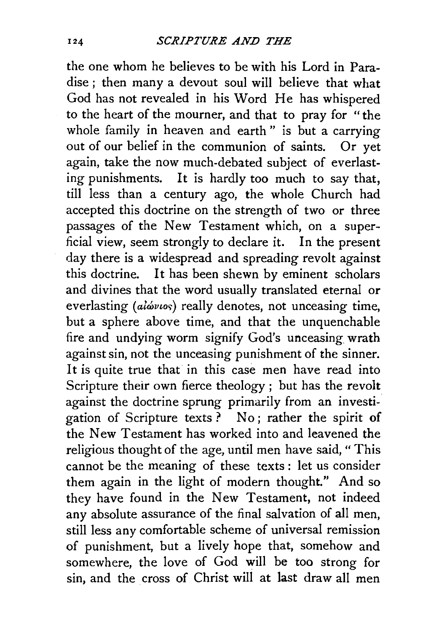the one whom he believes to be with his Lord in Paradise ; then many a devout soul will believe that what God has not revealed in his Word He has whispered to the heart of the mourner, and that to pray for "the whole family in heaven and earth" is but a carrying out of our belief in the communion of saints. Or yet again, take the now much-debated subject of everlasting punishments. It is hardly too much to say that, till less than a century ago, the whole Church had accepted this doctrine on the strength of two or three passages of the New Testament which, on a superficial view, seem strongly to declare it. In the present day there is a widespread and spreading revolt against this doctrine. It has been shewn by eminent scholars and divines that the word usually translated eternal or everlasting (alóvios) really denotes, not unceasing time, but a sphere above time, and that the unquenchable fire and undying worm signify God's unceasing wrath against sin, not the unceasing punishment of the sinner. It is quite true that in this case men have read into Scripture their own fierce theology ; but has the revolt against the doctrine sprung primarily from an investigation of Scripture texts ? No ; rather the spirit of the New Testament has worked into and leavened the religious thought of the age, until men have said, "This cannot be the meaning of these texts : let us consider them again in the light of modern thought." And so they have found in the New Testament, not indeed any absolute assurance of the final salvation of all men, still less any comfortable scheme of universal remission of punishment, but a lively hope that, somehow and somewhere, the love of God will be too strong for sin, and the cross of Christ will at last draw all men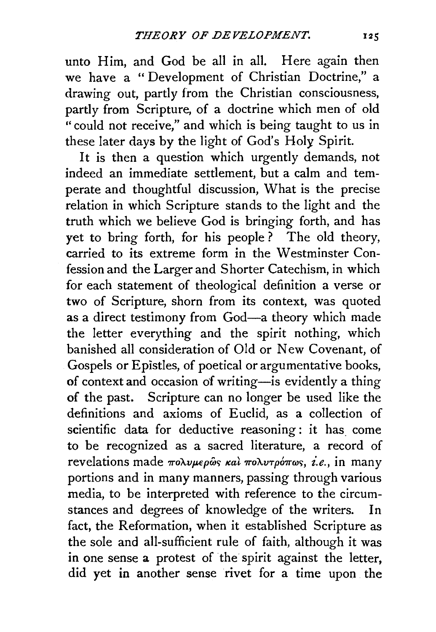unto Him, and God be all in all. Here again then we have a " Development of Christian Doctrine," a drawing out, partly from the Christian consciousness, partly from Scripture, of a doctrine which men of old "could not receive," and which is being taught to us in these later days by the light of God's Holy Spirit.

It is then a question which urgently demands, not indeed an immediate settlement, but a calm and temperate and thoughtful discussion, What is the precise relation in which Scripture stands to the light and the truth which we believe God is bringing forth, and has yet to bring forth, for his people? The old theory, carried to its extreme form in the Westminster Confession and the Larger and Shorter Catechism, in which for each statement of theological definition a verse or two of Scripture, shorn from its context, was quoted as a direct testimony from God-a theory which made the letter everything and the spirit nothing, which banished all consideration of Old or New Covenant, of Gospels or Epistles, of poetical or argumentative books, of context and occasion of writing-is evidently a thing of the past. Scripture can no longer be used like the definitions and axioms of Euclid, as a collection of scientific data for deductive reasoning: it has come to be recognized as a sacred literature, a record of revelations made πολυμερώς καὶ πολυτρόπως, *i.e.*, in many portions and in many manners, passing through various media, to be interpreted with reference to the circumstances and degrees of knowledge of the writers. In fact, the Reformation, when it established Scripture as the sole and all-sufficient rule of faith, although it was in one sense a protest of the spirit against the letter, did yet in another sense rivet for a time upon the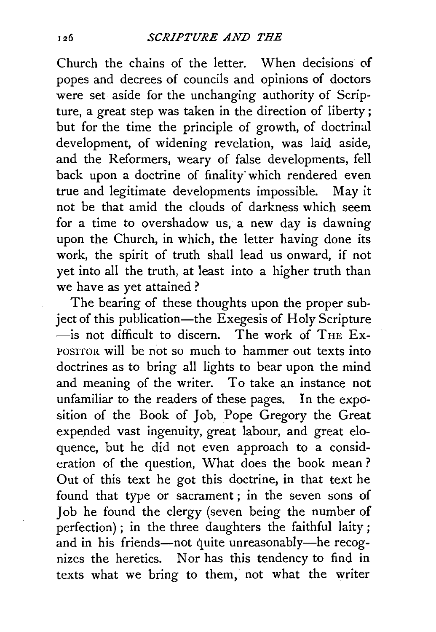Church the chains of the letter. When decisions of popes and decrees of councils and opinions of doctors were set aside for the unchanging authority of Scripture, a great step was taken in the direction of liberty ; but for the time the principle of growth, of doctrinal development, of widening revelation, was laid aside, and the Reformers, weary of false developments, fell back upon a doctrine of finality" which rendered even true and legitimate developments impossible. May it not be that amid the clouds of darkness which seem for a time to overshadow us, a new day is dawning upon the Church, in which, the letter having done its work, the spirit of truth shall lead us onward, if not yet into all the truth, at least into a higher truth than we have as yet attained?

The bearing of these thoughts upon the proper subject of this publication—the Exegesis of Holy Scripture  $-$ is not difficult to discern. The work of THE Ex-POSITOR will be not so much to hammer out texts into doctrines as to bring all lights to bear upon the mind and meaning of the writer. To take an instance not unfamiliar to the readers of these pages. In the exposition of the Book of Job, Pope Gregory the Great expepded vast ingenuity, great labour, and great eloquence, but he did not even approach to a consideration of the question, What does the book mean ? Out of this text he got this doctrine, in that text he found that type or sacrament ; in the seven sons of Job he found the clergy (seven being the number of perfection); in the three daughters the faithful laity; and in his friends-not quite unreasonably-he recognizes the heretics. Nor has this tendency to find in texts what we bring to them, not what the writer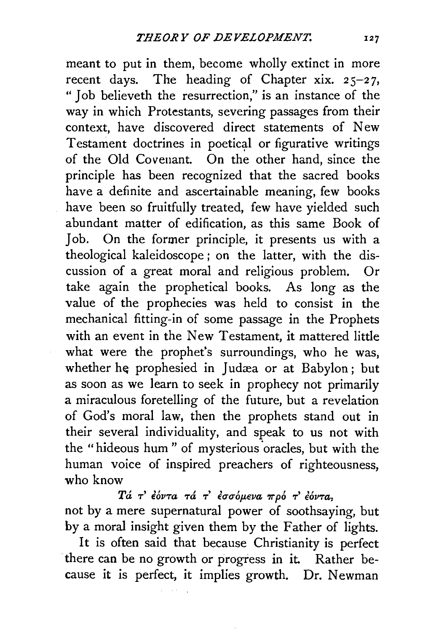meant to put in them, become wholly extinct in more recent days. The heading of Chapter xix.  $25-27$ , " Job believeth the resurrection," is an instance of the way in which Protestants, severing passages from their context, have discovered direct statements of New Testament doctrines in poetical or figurative writings of the Old Covenant. On the other hand, since the principle has been recognized that the sacred books have a definite and ascertainable meaning, few books have been so fruitfully treated, few have yielded such abundant matter of edification, as this same Book of Job. On the former principle, it presents us with a theological kaleidoscope; on the latter, with the discussion of a great moral and religious problem. Or take again the prophetical books. As long as the value of the prophecies was held to consist in the mechanical fitting-in of some passage in the Prophets with an event in the New Testament, it mattered little what were the prophet's surroundings, who he was, whether he prophesied in Judæa or at Babylon; but as soon as we learn to seek in prophecy not primarily a miraculous foretelling of the future, but a revelation of God's moral law, then the prophets stand out in their several individuality, and speak to us not with the "hideous hum" of mysterious oracles, but with the human voice of inspired preachers of righteousness, who know

*Tci* **.,-'** *EOvrra* **.,.&, 7'** *EuuO;teva 7rp0 rr' €0vrra,*  not by a mere supernatural power of soothsaying, but by a moral insight given them by the Father of lights.

It is often said that because Christianity is perfect there can be no growth or progress in it. Rather because it is perfect, it implies growth. Dr. Newman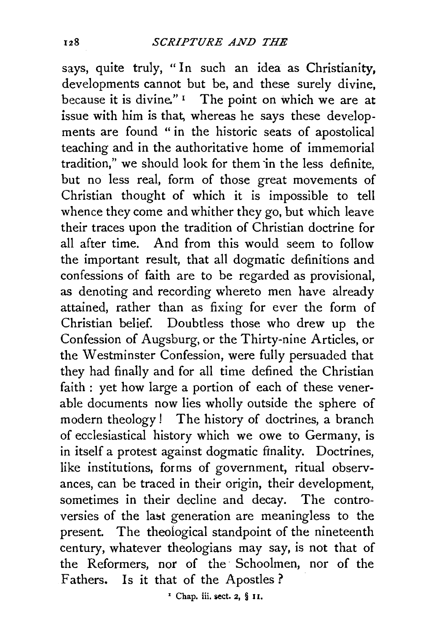says, quite truly, " In such an idea as Christianity, developments cannot but be, and these surely divine, because it is divine." $\frac{1}{1}$  The point on which we are at issue with him is that, whereas he says these developments are found " in the historic seats of apostolical teaching and in the authoritative home of immemorial tradition." we should look for them in the less definite, but no less real, form of those great movements of Christian thought of which it is impossible to tell whence they come and whither they go, but which leave their traces upon the tradition of Christian doctrine for all after time. And from this would seem to follow the important result, that all dogmatic definitions and confessions of faith are to be regarded as provisional, as denoting and recording whereto men have already attained, rather than as fixing for ever the form of Christian belief. Doubtless those who drew up the Confession of Augsburg, or the Thirty-nine Articles, or the Westminster Confession, were fully persuaded that they had finally and for all time defined the Christian faith : yet how large a portion of each of these venerable documents now lies wholly outside the sphere of modern theology ! The history of doctrines, a branch of ecclesiastical history which we owe to Germany, is in itself a protest against dogmatic finality. Doctrines, like institutions, forms of government, ritual observances, can be traced in their origin, their development, sometimes in their decline and decay. The controversies of the last generation are meaningless to the present. The theological standpoint of the nineteenth century, whatever theologians may say, is not that of the Reformers, nor of the Schoolmen, nor of the Fathers. Is it that of the Apostles ?

 $'$  Chap. iii. sect. 2, § 11.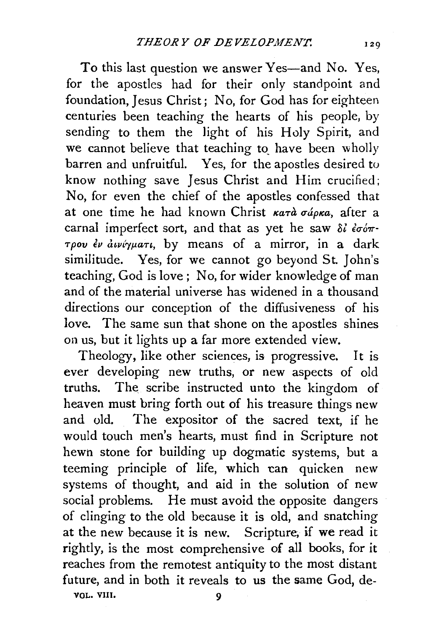To this last question we answer Yes—and No. Yes, for the apostles had for their only standpoint and foundation, Jesus Christ ; No, for God has for eighteen centuries been teaching the hearts of his people, by sending to them the light of his Holy Spirit, and we cannot believe that teaching to have been wholly barren and unfruitful. Yes, for the apostles desired to know nothing save Jesus Christ and Him crucified; No, for even the chief of the apostles confessed that at one time he had known Christ *Kara oupka*, after a carnal imperfect sort, and that as yet he saw *δι έσόπ*-*-rpov ev atv{rypan,* by means of a mirror, in a dark similitude. Yes, for we cannot go beyond St. John's teaching, God is love ; No, for wider knowledge of man and of the material universe has widened in a thousand directions our conception of the diffusiveness of his love. The same sun that shone on the apostles shines on us, but it lights up a far more extended view.

Theology, like other sciences, is progressive. It is ever developing new truths, or new aspects of old truths. The scribe instructed unto the kingdom of heaven must bring forth out of his treasure things new and old. The expositor of the sacred text, if he would touch men's hearts, must find in Scripture not hewn stone for building up dogmatic systems, but a teeming principle of life, which can quicken new systems of thought, and aid in the solution of new social problems. He must avoid the opposite dangers of clinging to the old because it is old, and snatching at the new because it is new. Scripture, if we read it rightly, is the most comprehensive of all books, for it reaches from the remotest antiquity to the most distant future, and in both it reveals to us the same God, devol. viii. 9